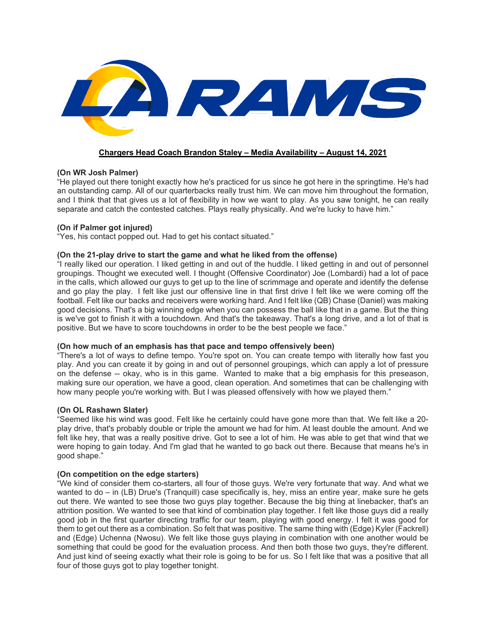

# **Chargers Head Coach Brandon Staley – Media Availability – August 14, 2021**

# **(On WR Josh Palmer)**

"He played out there tonight exactly how he's practiced for us since he got here in the springtime. He's had an outstanding camp. All of our quarterbacks really trust him. We can move him throughout the formation, and I think that that gives us a lot of flexibility in how we want to play. As you saw tonight, he can really separate and catch the contested catches. Plays really physically. And we're lucky to have him."

# **(On if Palmer got injured)**

"Yes, his contact popped out. Had to get his contact situated."

# **(On the 21-play drive to start the game and what he liked from the offense)**

"I really liked our operation. I liked getting in and out of the huddle. I liked getting in and out of personnel groupings. Thought we executed well. I thought (Offensive Coordinator) Joe (Lombardi) had a lot of pace in the calls, which allowed our guys to get up to the line of scrimmage and operate and identify the defense and go play the play. I felt like just our offensive line in that first drive I felt like we were coming off the football. Felt like our backs and receivers were working hard. And I felt like (QB) Chase (Daniel) was making good decisions. That's a big winning edge when you can possess the ball like that in a game. But the thing is we've got to finish it with a touchdown. And that's the takeaway. That's a long drive, and a lot of that is positive. But we have to score touchdowns in order to be the best people we face."

### **(On how much of an emphasis has that pace and tempo offensively been)**

"There's a lot of ways to define tempo. You're spot on. You can create tempo with literally how fast you play. And you can create it by going in and out of personnel groupings, which can apply a lot of pressure on the defense -- okay, who is in this game. Wanted to make that a big emphasis for this preseason, making sure our operation, we have a good, clean operation. And sometimes that can be challenging with how many people you're working with. But I was pleased offensively with how we played them."

### **(On OL Rashawn Slater)**

"Seemed like his wind was good. Felt like he certainly could have gone more than that. We felt like a 20 play drive, that's probably double or triple the amount we had for him. At least double the amount. And we felt like hey, that was a really positive drive. Got to see a lot of him. He was able to get that wind that we were hoping to gain today. And I'm glad that he wanted to go back out there. Because that means he's in good shape."

# **(On competition on the edge starters)**

"We kind of consider them co-starters, all four of those guys. We're very fortunate that way. And what we wanted to do – in (LB) Drue's (Tranquill) case specifically is, hey, miss an entire year, make sure he gets out there. We wanted to see those two guys play together. Because the big thing at linebacker, that's an attrition position. We wanted to see that kind of combination play together. I felt like those guys did a really good job in the first quarter directing traffic for our team, playing with good energy. I felt it was good for them to get out there as a combination. So felt that was positive. The same thing with (Edge) Kyler (Fackrell) and (Edge) Uchenna (Nwosu). We felt like those guys playing in combination with one another would be something that could be good for the evaluation process. And then both those two guys, they're different. And just kind of seeing exactly what their role is going to be for us. So I felt like that was a positive that all four of those guys got to play together tonight.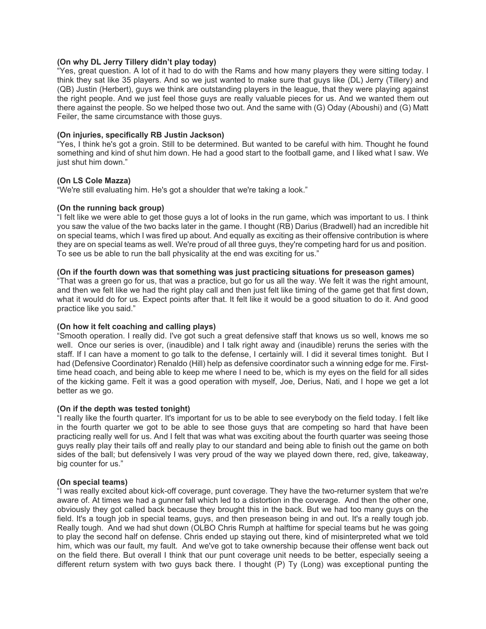#### **(On why DL Jerry Tillery didn't play today)**

"Yes, great question. A lot of it had to do with the Rams and how many players they were sitting today. I think they sat like 35 players. And so we just wanted to make sure that guys like (DL) Jerry (Tillery) and (QB) Justin (Herbert), guys we think are outstanding players in the league, that they were playing against the right people. And we just feel those guys are really valuable pieces for us. And we wanted them out there against the people. So we helped those two out. And the same with (G) Oday (Aboushi) and (G) Matt Feiler, the same circumstance with those guys.

#### **(On injuries, specifically RB Justin Jackson)**

"Yes, I think he's got a groin. Still to be determined. But wanted to be careful with him. Thought he found something and kind of shut him down. He had a good start to the football game, and I liked what I saw. We just shut him down."

# **(On LS Cole Mazza)**

"We're still evaluating him. He's got a shoulder that we're taking a look."

### **(On the running back group)**

"I felt like we were able to get those guys a lot of looks in the run game, which was important to us. I think you saw the value of the two backs later in the game. I thought (RB) Darius (Bradwell) had an incredible hit on special teams, which I was fired up about. And equally as exciting as their offensive contribution is where they are on special teams as well. We're proud of all three guys, they're competing hard for us and position. To see us be able to run the ball physicality at the end was exciting for us."

#### **(On if the fourth down was that something was just practicing situations for preseason games)**

"That was a green go for us, that was a practice, but go for us all the way. We felt it was the right amount, and then we felt like we had the right play call and then just felt like timing of the game get that first down, what it would do for us. Expect points after that. It felt like it would be a good situation to do it. And good practice like you said."

### **(On how it felt coaching and calling plays)**

"Smooth operation. I really did. I've got such a great defensive staff that knows us so well, knows me so well. Once our series is over, (inaudible) and I talk right away and (inaudible) reruns the series with the staff. If I can have a moment to go talk to the defense, I certainly will. I did it several times tonight. But I had (Defensive Coordinator) Renaldo (Hill) help as defensive coordinator such a winning edge for me. Firsttime head coach, and being able to keep me where I need to be, which is my eyes on the field for all sides of the kicking game. Felt it was a good operation with myself, Joe, Derius, Nati, and I hope we get a lot better as we go.

### **(On if the depth was tested tonight)**

"I really like the fourth quarter. It's important for us to be able to see everybody on the field today. I felt like in the fourth quarter we got to be able to see those guys that are competing so hard that have been practicing really well for us. And I felt that was what was exciting about the fourth quarter was seeing those guys really play their tails off and really play to our standard and being able to finish out the game on both sides of the ball; but defensively I was very proud of the way we played down there, red, give, takeaway, big counter for us."

#### **(On special teams)**

"I was really excited about kick-off coverage, punt coverage. They have the two-returner system that we're aware of. At times we had a gunner fall which led to a distortion in the coverage. And then the other one, obviously they got called back because they brought this in the back. But we had too many guys on the field. It's a tough job in special teams, guys, and then preseason being in and out. It's a really tough job. Really tough. And we had shut down (OLBO Chris Rumph at halftime for special teams but he was going to play the second half on defense. Chris ended up staying out there, kind of misinterpreted what we told him, which was our fault, my fault. And we've got to take ownership because their offense went back out on the field there. But overall I think that our punt coverage unit needs to be better, especially seeing a different return system with two guys back there. I thought (P) Ty (Long) was exceptional punting the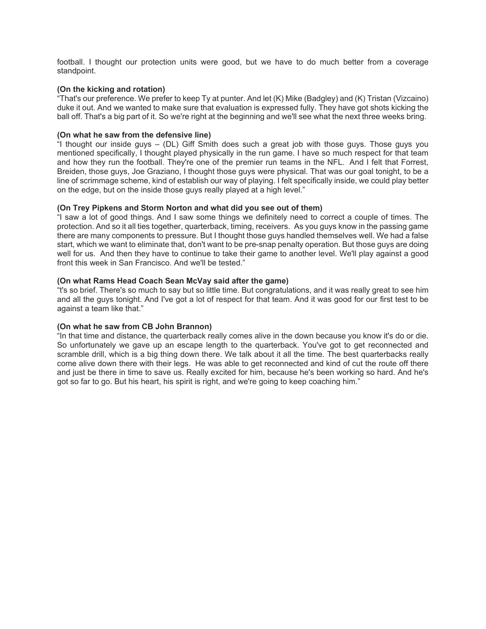football. I thought our protection units were good, but we have to do much better from a coverage standpoint.

# **(On the kicking and rotation)**

"That's our preference. We prefer to keep Ty at punter. And let (K) Mike (Badgley) and (K) Tristan (Vizcaino) duke it out. And we wanted to make sure that evaluation is expressed fully. They have got shots kicking the ball off. That's a big part of it. So we're right at the beginning and we'll see what the next three weeks bring.

## **(On what he saw from the defensive line)**

"I thought our inside guys – (DL) Giff Smith does such a great job with those guys. Those guys you mentioned specifically, I thought played physically in the run game. I have so much respect for that team and how they run the football. They're one of the premier run teams in the NFL. And I felt that Forrest, Breiden, those guys, Joe Graziano, I thought those guys were physical. That was our goal tonight, to be a line of scrimmage scheme, kind of establish our way of playing. I felt specifically inside, we could play better on the edge, but on the inside those guys really played at a high level."

### **(On Trey Pipkens and Storm Norton and what did you see out of them)**

"I saw a lot of good things. And I saw some things we definitely need to correct a couple of times. The protection. And so it all ties together, quarterback, timing, receivers. As you guys know in the passing game there are many components to pressure. But I thought those guys handled themselves well. We had a false start, which we want to eliminate that, don't want to be pre-snap penalty operation. But those guys are doing well for us. And then they have to continue to take their game to another level. We'll play against a good front this week in San Francisco. And we'll be tested."

# **(On what Rams Head Coach Sean McVay said after the game)**

"t's so brief. There's so much to say but so little time. But congratulations, and it was really great to see him and all the guys tonight. And I've got a lot of respect for that team. And it was good for our first test to be against a team like that."

### **(On what he saw from CB John Brannon)**

"In that time and distance, the quarterback really comes alive in the down because you know it's do or die. So unfortunately we gave up an escape length to the quarterback. You've got to get reconnected and scramble drill, which is a big thing down there. We talk about it all the time. The best quarterbacks really come alive down there with their legs. He was able to get reconnected and kind of cut the route off there and just be there in time to save us. Really excited for him, because he's been working so hard. And he's got so far to go. But his heart, his spirit is right, and we're going to keep coaching him."